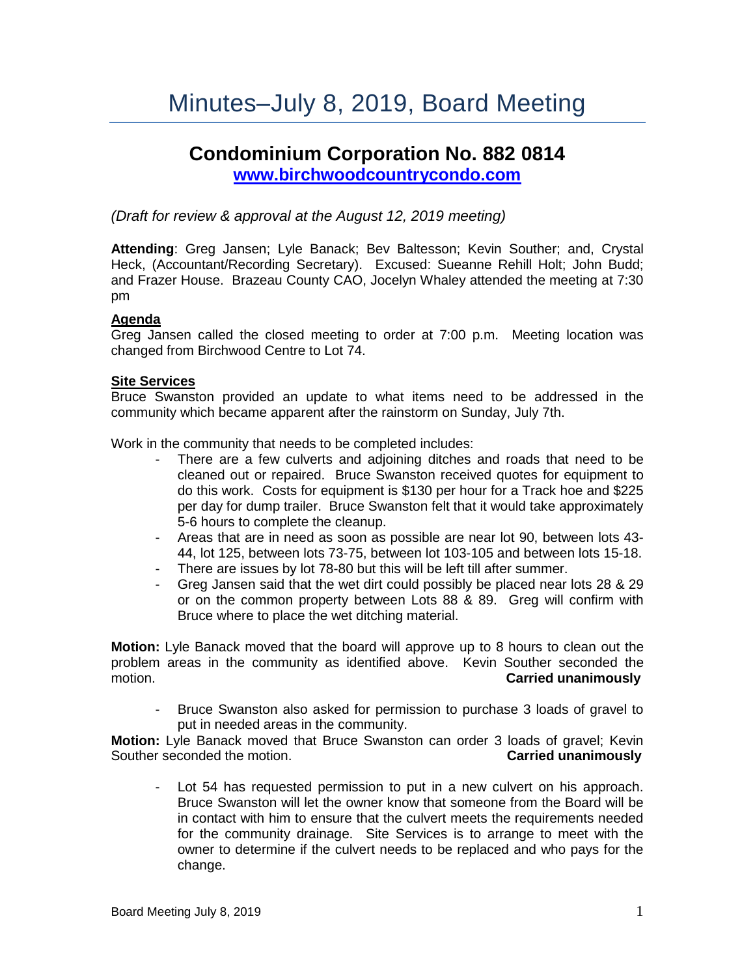# **Condominium Corporation No. 882 0814 [www.birchwoodcountrycondo.com](http://www.birchwoodcountrycondo.com/)**

# *(Draft for review & approval at the August 12, 2019 meeting)*

**Attending**: Greg Jansen; Lyle Banack; Bev Baltesson; Kevin Souther; and, Crystal Heck, (Accountant/Recording Secretary). Excused: Sueanne Rehill Holt; John Budd; and Frazer House. Brazeau County CAO, Jocelyn Whaley attended the meeting at 7:30 pm

# **Agenda**

Greg Jansen called the closed meeting to order at 7:00 p.m. Meeting location was changed from Birchwood Centre to Lot 74.

# **Site Services**

Bruce Swanston provided an update to what items need to be addressed in the community which became apparent after the rainstorm on Sunday, July 7th.

Work in the community that needs to be completed includes:

- There are a few culverts and adjoining ditches and roads that need to be cleaned out or repaired. Bruce Swanston received quotes for equipment to do this work. Costs for equipment is \$130 per hour for a Track hoe and \$225 per day for dump trailer. Bruce Swanston felt that it would take approximately 5-6 hours to complete the cleanup.
- Areas that are in need as soon as possible are near lot 90, between lots 43- 44, lot 125, between lots 73-75, between lot 103-105 and between lots 15-18.
- There are issues by lot 78-80 but this will be left till after summer.
- Greg Jansen said that the wet dirt could possibly be placed near lots 28 & 29 or on the common property between Lots 88 & 89. Greg will confirm with Bruce where to place the wet ditching material.

**Motion:** Lyle Banack moved that the board will approve up to 8 hours to clean out the problem areas in the community as identified above. Kevin Souther seconded the motion. **Carried unanimously**

- Bruce Swanston also asked for permission to purchase 3 loads of gravel to put in needed areas in the community.

**Motion:** Lyle Banack moved that Bruce Swanston can order 3 loads of gravel; Kevin Souther seconded the motion. **Carried unanimously** 

- Lot 54 has requested permission to put in a new culvert on his approach. Bruce Swanston will let the owner know that someone from the Board will be in contact with him to ensure that the culvert meets the requirements needed for the community drainage. Site Services is to arrange to meet with the owner to determine if the culvert needs to be replaced and who pays for the change.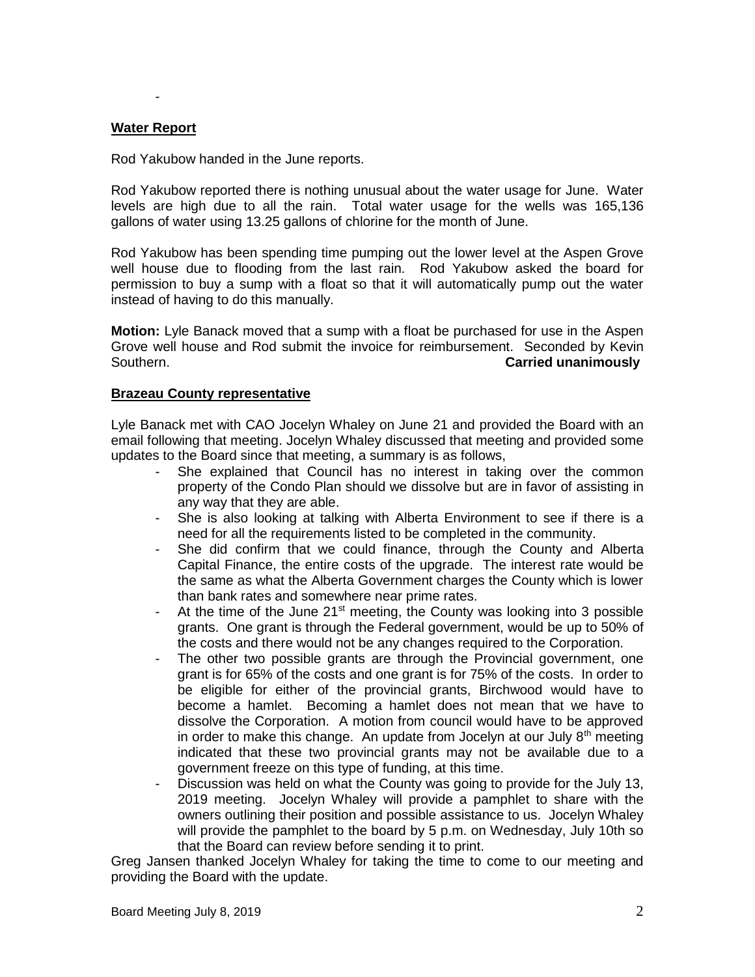#### **Water Report**

-

Rod Yakubow handed in the June reports.

Rod Yakubow reported there is nothing unusual about the water usage for June. Water levels are high due to all the rain. Total water usage for the wells was 165,136 gallons of water using 13.25 gallons of chlorine for the month of June.

Rod Yakubow has been spending time pumping out the lower level at the Aspen Grove well house due to flooding from the last rain. Rod Yakubow asked the board for permission to buy a sump with a float so that it will automatically pump out the water instead of having to do this manually.

**Motion:** Lyle Banack moved that a sump with a float be purchased for use in the Aspen Grove well house and Rod submit the invoice for reimbursement. Seconded by Kevin Southern. **Carried unanimously**

#### **Brazeau County representative**

Lyle Banack met with CAO Jocelyn Whaley on June 21 and provided the Board with an email following that meeting. Jocelyn Whaley discussed that meeting and provided some updates to the Board since that meeting, a summary is as follows,

- She explained that Council has no interest in taking over the common property of the Condo Plan should we dissolve but are in favor of assisting in any way that they are able.
- She is also looking at talking with Alberta Environment to see if there is a need for all the requirements listed to be completed in the community.
- She did confirm that we could finance, through the County and Alberta Capital Finance, the entire costs of the upgrade. The interest rate would be the same as what the Alberta Government charges the County which is lower than bank rates and somewhere near prime rates.
- At the time of the June  $21^{st}$  meeting, the County was looking into 3 possible grants. One grant is through the Federal government, would be up to 50% of the costs and there would not be any changes required to the Corporation.
- The other two possible grants are through the Provincial government, one grant is for 65% of the costs and one grant is for 75% of the costs. In order to be eligible for either of the provincial grants, Birchwood would have to become a hamlet. Becoming a hamlet does not mean that we have to dissolve the Corporation. A motion from council would have to be approved in order to make this change. An update from Jocelyn at our July  $8<sup>th</sup>$  meeting indicated that these two provincial grants may not be available due to a government freeze on this type of funding, at this time.
- Discussion was held on what the County was going to provide for the July 13, 2019 meeting. Jocelyn Whaley will provide a pamphlet to share with the owners outlining their position and possible assistance to us. Jocelyn Whaley will provide the pamphlet to the board by 5 p.m. on Wednesday, July 10th so that the Board can review before sending it to print.

Greg Jansen thanked Jocelyn Whaley for taking the time to come to our meeting and providing the Board with the update.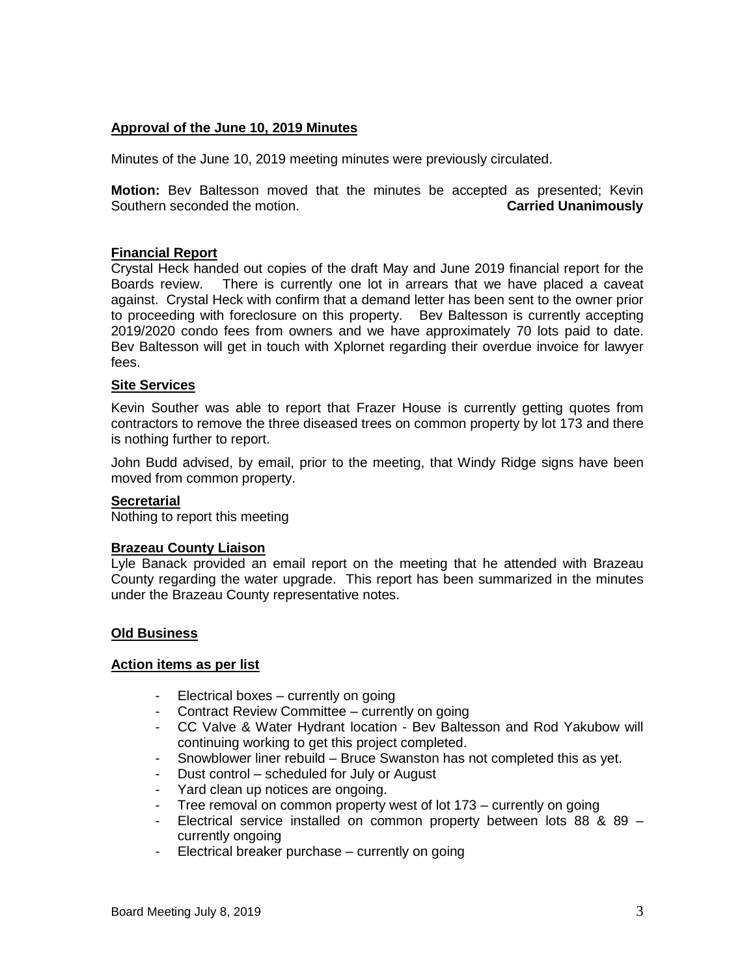# **Approval of the June 10, 2019 Minutes**

Minutes of the June 10, 2019 meeting minutes were previously circulated.

**Motion:** Bev Baltesson moved that the minutes be accepted as presented; Kevin Southern seconded the motion. **Carried Unanimously**

#### **Financial Report**

Crystal Heck handed out copies of the draft May and June 2019 financial report for the Boards review. There is currently one lot in arrears that we have placed a caveat against. Crystal Heck with confirm that a demand letter has been sent to the owner prior to proceeding with foreclosure on this property. Bev Baltesson is currently accepting 2019/2020 condo fees from owners and we have approximately 70 lots paid to date. Bev Baltesson will get in touch with Xplornet regarding their overdue invoice for lawyer fees.

#### **Site Services**

Kevin Souther was able to report that Frazer House is currently getting quotes from contractors to remove the three diseased trees on common property by lot 173 and there is nothing further to report.

John Budd advised, by email, prior to the meeting, that Windy Ridge signs have been moved from common property.

#### **Secretarial**

Nothing to report this meeting

#### **Brazeau County Liaison**

Lyle Banack provided an email report on the meeting that he attended with Brazeau County regarding the water upgrade. This report has been summarized in the minutes under the Brazeau County representative notes.

#### **Old Business**

#### **Action items as per list**

- Electrical boxes currently on going
- Contract Review Committee currently on going
- CC Valve & Water Hydrant location Bev Baltesson and Rod Yakubow will continuing working to get this project completed.
- Snowblower liner rebuild Bruce Swanston has not completed this as yet.
- Dust control scheduled for July or August
- Yard clean up notices are ongoing.
- Tree removal on common property west of lot 173 currently on going
- Electrical service installed on common property between lots 88 & 89 currently ongoing
- Electrical breaker purchase currently on going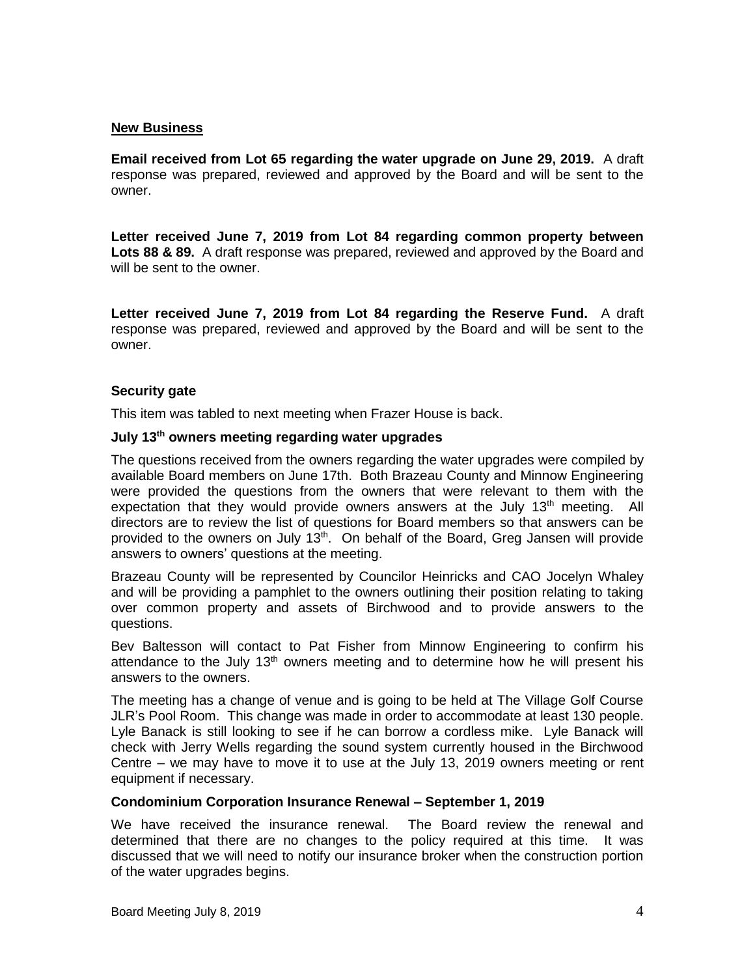#### **New Business**

**Email received from Lot 65 regarding the water upgrade on June 29, 2019.** A draft response was prepared, reviewed and approved by the Board and will be sent to the owner.

**Letter received June 7, 2019 from Lot 84 regarding common property between Lots 88 & 89.** A draft response was prepared, reviewed and approved by the Board and will be sent to the owner.

**Letter received June 7, 2019 from Lot 84 regarding the Reserve Fund.** A draft response was prepared, reviewed and approved by the Board and will be sent to the owner.

## **Security gate**

This item was tabled to next meeting when Frazer House is back.

#### **July 13th owners meeting regarding water upgrades**

The questions received from the owners regarding the water upgrades were compiled by available Board members on June 17th. Both Brazeau County and Minnow Engineering were provided the questions from the owners that were relevant to them with the expectation that they would provide owners answers at the July  $13<sup>th</sup>$  meeting. All directors are to review the list of questions for Board members so that answers can be provided to the owners on July 13<sup>th</sup>. On behalf of the Board, Greg Jansen will provide answers to owners' questions at the meeting.

Brazeau County will be represented by Councilor Heinricks and CAO Jocelyn Whaley and will be providing a pamphlet to the owners outlining their position relating to taking over common property and assets of Birchwood and to provide answers to the questions.

Bev Baltesson will contact to Pat Fisher from Minnow Engineering to confirm his attendance to the July 13<sup>th</sup> owners meeting and to determine how he will present his answers to the owners.

The meeting has a change of venue and is going to be held at The Village Golf Course JLR's Pool Room. This change was made in order to accommodate at least 130 people. Lyle Banack is still looking to see if he can borrow a cordless mike. Lyle Banack will check with Jerry Wells regarding the sound system currently housed in the Birchwood Centre – we may have to move it to use at the July 13, 2019 owners meeting or rent equipment if necessary.

#### **Condominium Corporation Insurance Renewal – September 1, 2019**

We have received the insurance renewal. The Board review the renewal and determined that there are no changes to the policy required at this time. It was discussed that we will need to notify our insurance broker when the construction portion of the water upgrades begins.